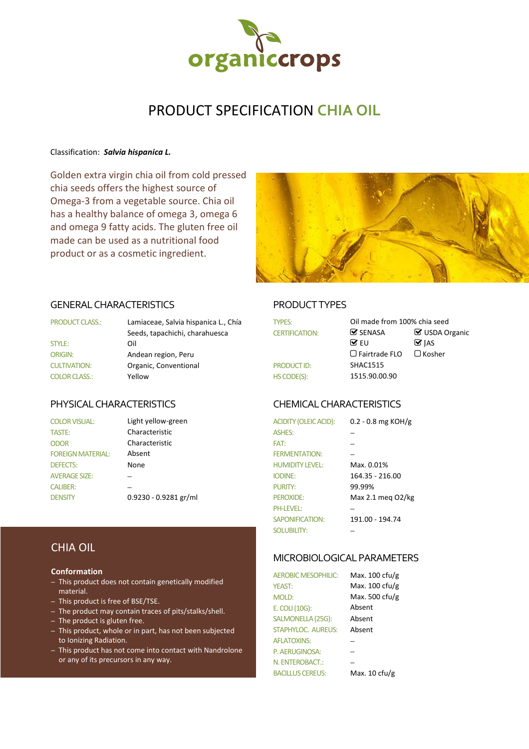

# PRODUCT SPECIFICATION **CHIA OIL**

#### Classification: *Salvia hispanica L.*

Golden extra virgin chia oil from cold pressed chia seeds offers the highest source of Omega-3 from a vegetable source. Chia oil has a healthy balance of omega 3, omega 6 and omega 9 fatty acids. The gluten free oil made can be used as a nutritional food product or as a cosmetic ingredient.



#### GENERAL CHARACTERISTICS PRODUCT TYPES

| <b>PRODUCT CLASS.:</b> | Lamiaceae, Salvia hispanica L., Chía<br><b>TYPES:</b> |                       | Oi                      |
|------------------------|-------------------------------------------------------|-----------------------|-------------------------|
|                        | Seeds, tapachichi, charahuesca                        | <b>CERTIFICATION:</b> | $\overline{\mathbf{v}}$ |
| <b>STYLE:</b>          | Oil                                                   |                       | ☞                       |
| <b>ORIGIN:</b>         | Andean region, Peru                                   |                       | ∩                       |
| <b>CULTIVATION:</b>    | Organic, Conventional                                 | <b>PRODUCT ID:</b>    | SF                      |
| <b>COLOR CLASS.:</b>   | Yellow                                                | HS CODE(S):           | 15                      |

# CHIA OIL

#### **Conformation**

- This product does not contain genetically modified material.
- This product is free of BSE/TSE.
- The product may contain traces of pits/stalks/shell.
- The product is gluten free.
- This product, whole or in part, has not been subjected to Ionizing Radiation.
- This product has not come into contact with Nandrolone or any of its precursors in any way.

| <b>PRODUCT CLASS.:</b> | Lamiaceae, Salvia hispanica L., Chía | <b>TYPES:</b>         | Oil made from 100% chia seed |                            |
|------------------------|--------------------------------------|-----------------------|------------------------------|----------------------------|
|                        | Seeds, tapachichi, charahuesca       | <b>CERTIFICATION:</b> | $\triangledown$ SENASA       | ■ USDA Organic             |
| <b>STYLE:</b>          | Oil                                  |                       | $\overline{M}$ FU            | $\mathbf{\mathcal{G}}$ ias |
| ORIGIN:                | Andean region, Peru                  |                       | $\Box$ Fairtrade FLO         | $\Box$ Kosher              |
| <b>CULTIVATION:</b>    | Organic, Conventional                | <b>PRODUCT ID:</b>    | <b>SHAC1515</b>              |                            |
| <b>COLOR CLASS.:</b>   | Yellow                               | HS CODE(S):           | 1515.90.00.90                |                            |

## PHYSICAL CHARACTERISTICS CHEMICAL CHARACTERISTICS

| <b>COLOR VISUAL:</b>     | Light yellow-green      | <b>ACIDITY (OLEIC ACID):</b> | 0.2 - 0.8 mg KOH/g  |
|--------------------------|-------------------------|------------------------------|---------------------|
| <b>TASTE:</b>            | Characteristic          | <b>ASHES:</b>                |                     |
| <b>ODOR</b>              | Characteristic          | FAT:                         |                     |
| <b>FOREIGN MATERIAL:</b> | Absent                  | <b>FERMENTATION:</b>         |                     |
| <b>DEFECTS:</b>          | None                    | <b>HUMIDITY LEVEL:</b>       | Max. 0.01%          |
| <b>AVERAGE SIZE:</b>     |                         | <b>IODINE:</b>               | 164.35 - 216.00     |
| <b>CALIBER:</b>          |                         | <b>PURITY:</b>               | 99.99%              |
| <b>DENSITY</b>           | $0.9230 - 0.9281$ gr/ml | <b>PEROXIDE:</b>             | Max 2.1 meg $O2/kg$ |
|                          |                         | <b>PH-LEVEL:</b>             |                     |
|                          |                         | <b>SAPONIFICATION:</b>       | 191.00 - 194.74     |
|                          |                         | <b>SOLUBILITY:</b>           |                     |

#### MICROBIOLOGICAL PARAMETERS

AEROBIC MESOPHILIC: Max. 100 cfu/g YEAST: Max. 100 cfu/g MOLD: Max. 500 cfu/g E. COLI (10G): Absent SALMONELLA (25G): Absent STAPHYLOC. AUREUS: Absent AFI ATOXINS: P. AERUGINOSA: N. ENTEROBACT.: BACILLUS CEREUS: Max. 10 cfu/g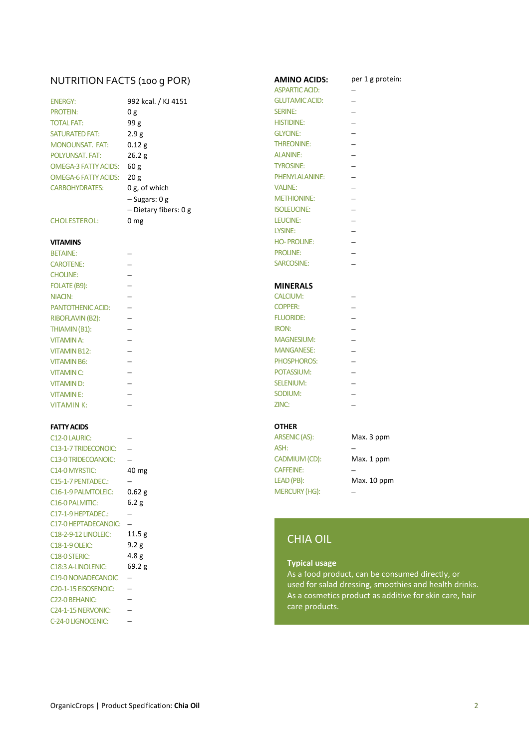# NUTRITION FACTS (100 G POR) **AMINO ACIDS:** per 1 g protein:

| <b>ENERGY:</b>         | 992 l          |
|------------------------|----------------|
| <b>PROTEIN:</b>        | 0g             |
| <b>TOTAL FAT:</b>      | 99 g           |
| <b>SATURATED FAT:</b>  | 2.9g           |
| <b>MONOUNSAT. FAT:</b> | 0.12           |
| POLYUNSAT, FAT:        | 26.2           |
| OMEGA-3 FATTY ACIDS:   | 60g            |
| OMEGA-6 FATTY ACIDS:   | 20g            |
| <b>CARBOHYDRATES:</b>  | 0 g, c         |
|                        | $-\text{S}$ ug |
|                        | nic            |

### CHOLESTEROL: 0 mg

| <b>BETAINE:</b>          | <b>PROLINE:</b>   |                          |
|--------------------------|-------------------|--------------------------|
| <b>CAROTENE:</b>         | SARCOSINE:        |                          |
| <b>CHOLINE:</b>          |                   |                          |
| FOLATE (B9):             | <b>MINERALS</b>   |                          |
| NIACIN:                  | <b>CALCIUM:</b>   |                          |
| <b>PANTOTHENIC ACID:</b> | <b>COPPER:</b>    | ÷                        |
| <b>RIBOFLAVIN (B2):</b>  | <b>FLUORIDE:</b>  | ÷                        |
| THIAMIN (B1):            | <b>IRON:</b>      | $\overline{\phantom{0}}$ |
| <b>VITAMIN A:</b>        | <b>MAGNESIUM:</b> | ÷                        |
| <b>VITAMIN B12:</b>      | <b>MANGANESE:</b> | ÷                        |
| <b>VITAMIN B6:</b>       | PHOSPHOROS:       | $\overline{\phantom{a}}$ |
| <b>VITAMIN C:</b>        | POTASSIUM:        |                          |
| <b>VITAMIND:</b>         | <b>SELENIUM:</b>  |                          |
| <b>VITAMINE:</b>         | SODIUM:           |                          |
| <b>VITAMIN K:</b>        | ZINC:             |                          |
|                          |                   |                          |

### **FATTY ACIDS OTHER**

| C12-0 LAURIC:                     |                  | ARSENIC (AS):        | Ν                        |
|-----------------------------------|------------------|----------------------|--------------------------|
| C13-1-7 TRIDECONOIC:              |                  | ASH:                 |                          |
| C13-0 TRIDECOANOIC:               |                  | CADMIUM (CD):        | Ν                        |
| C14-0 MYRSTIC:                    | 40 mg            | <b>CAFFEINE:</b>     | $\overline{\phantom{0}}$ |
| C15-1-7 PENTADEC.:                |                  | LEAD (PB):           | N                        |
| C16-1-9 PALMTOLEIC:               | $0.62$ g         | <b>MERCURY (HG):</b> |                          |
| <b>C16-0 PALMITIC:</b>            | 6.2 g            |                      |                          |
| C17-1-9 HEPTADEC.:                |                  |                      |                          |
| C17-0 HEPTADECANOIC:              |                  |                      |                          |
| C18-2-9-12 LINOLEIC:              | 11.5g            | <b>CHIA OIL</b>      |                          |
| <b>C18-1-9 OLEIC:</b>             | 9.2 g            |                      |                          |
| C <sub>18</sub> -0 STERIC:        | 4.8 <sub>g</sub> |                      |                          |
| C18:3 A-LINOLENIC:                | 69.2 g           | <b>Typical usage</b> |                          |
| C19-0 NONADECANOIC                |                  | As a food product,   |                          |
| C <sub>20</sub> -1-15 EISOSENOIC: |                  | used for salad dres  |                          |
| C <sub>22</sub> -0 BEHANIC:       |                  | As a cosmetics prod  |                          |
| C24-1-15 NERVONIC:                |                  | care products.       |                          |
| C-24-0 LIGNOCENIC:                |                  |                      |                          |

| NUTRITION FACTS (100 g POR) |                         | AMINO ACIDS:          | p                        |
|-----------------------------|-------------------------|-----------------------|--------------------------|
|                             |                         | <b>ASPARTIC ACID:</b> |                          |
| <b>ENERGY:</b>              | 992 kcal. / KJ 4151     | <b>GLUTAMIC ACID:</b> |                          |
| <b>PROTEIN:</b>             | 0g                      | <b>SERINE:</b>        | $\overline{a}$           |
| <b>TOTAL FAT:</b>           | 99g                     | <b>HISTIDINE:</b>     | $\overline{\phantom{0}}$ |
| <b>SATURATED FAT:</b>       | 2.9g                    | <b>GLYCINE:</b>       |                          |
| <b>MONOUNSAT. FAT:</b>      | 0.12 g                  | <b>THREONINE:</b>     | $\overline{\phantom{0}}$ |
| POLYUNSAT. FAT:             | 26.2 g                  | <b>ALANINE:</b>       | $\overline{\phantom{0}}$ |
| <b>OMEGA-3 FATTY ACIDS:</b> | 60 <sub>g</sub>         | <b>TYROSINE:</b>      | $\overline{\phantom{0}}$ |
| <b>OMEGA-6 FATTY ACIDS:</b> | 20 <sub>g</sub>         | PHENYLALANINE:        | $\overline{\phantom{0}}$ |
| <b>CARBOHYDRATES:</b>       | $0 g$ , of which        | <b>VALINE:</b>        |                          |
|                             | $-$ Sugars: 0 g         | <b>METHIONINE:</b>    | $\overline{\phantom{0}}$ |
|                             | $-$ Dietary fibers: 0 g | <b>ISOLEUCINE:</b>    | $\overline{\phantom{0}}$ |
| <b>CHOLESTEROL:</b>         | 0 <sub>mg</sub>         | LEUCINE:              |                          |
|                             |                         | LYSINE:               | $\overline{\phantom{0}}$ |
| <b>VITAMINS</b>             |                         | <b>HO-PROLINE:</b>    | $\overline{\phantom{0}}$ |
| <b>BETAINE:</b>             |                         | <b>PROLINE:</b>       | $\overline{\phantom{0}}$ |
| <b>CAROTENE:</b>            |                         | SARCOSINE:            |                          |
| <b>CHOLINE:</b>             |                         |                       |                          |
| FOLATE (B9):                |                         | <b>MINERALS</b>       |                          |
| <b>NIACIN:</b>              |                         | <b>CALCIUM:</b>       |                          |
| <b>PANTOTHENIC ACID:</b>    |                         | <b>COPPER:</b>        |                          |

| <b>GLUTAMIC ACID:</b> |                          |
|-----------------------|--------------------------|
| <b>SERINE:</b>        |                          |
| <b>HISTIDINE:</b>     |                          |
| <b>GLYCINE:</b>       |                          |
| THREONINE:            |                          |
| <b>ALANINE:</b>       |                          |
| <b>TYROSINE:</b>      | $\overline{\phantom{0}}$ |
| PHENYLALANINE:        |                          |
| <b>VALINE:</b>        |                          |
| <b>METHIONINE:</b>    |                          |
| <b>ISOLEUCINE:</b>    |                          |
| LEUCINE:              |                          |
| LYSINE:               |                          |
| <b>HO-PROLINE:</b>    |                          |
| <b>PROLINE:</b>       |                          |
| SARCOSINE:            |                          |
| <b>MINERALS</b>       |                          |
| <b>CALCIUM:</b>       |                          |
| <b>COPPER:</b>        |                          |
| <b>FILIORIDE:</b>     |                          |

| PANTUTHENIC ACID.       | CUFFLN.           |  |
|-------------------------|-------------------|--|
| <b>RIBOFLAVIN (B2):</b> | <b>FLUORIDE:</b>  |  |
| THIAMIN (B1):           | <b>IRON:</b>      |  |
| <b>VITAMIN A:</b>       | <b>MAGNESIUM:</b> |  |
| <b>VITAMIN B12:</b>     | <b>MANGANESE:</b> |  |
| <b>VITAMIN B6:</b>      | PHOSPHOROS:       |  |
| <b>VITAMIN C:</b>       | POTASSIUM:        |  |
| <b>VITAMIND:</b>        | <b>SELENIUM:</b>  |  |
| <b>VITAMINE:</b>        | SODIUM:           |  |
| VITAMIN K:              | ZINC:             |  |

| C12-0 LAURIC:                    |       | ARSENIC (AS):        | Max. 3 ppm  |
|----------------------------------|-------|----------------------|-------------|
| C13-1-7 TRIDECONOIC:             |       | ASH:                 |             |
| C13-0 TRIDECOANOIC:              |       | CADMIUM (CD):        | Max. 1 ppm  |
| C14-0 MYRSTIC:                   | 40 mg | <b>CAFFEINE:</b>     |             |
| C15-1-7 PENTADEC.:               |       | LEAD (PB):           | Max. 10 ppm |
| C <sub>16</sub> -1-9 PALMTOLEIC: | 0.62g | <b>MERCURY (HG):</b> |             |

# CHIA OIL

## **Typical usage**

As a food product, can be consumed directly, or used for salad dressing, smoothies and health drinks. As a cosmetics product as additive for skin care, hair care products.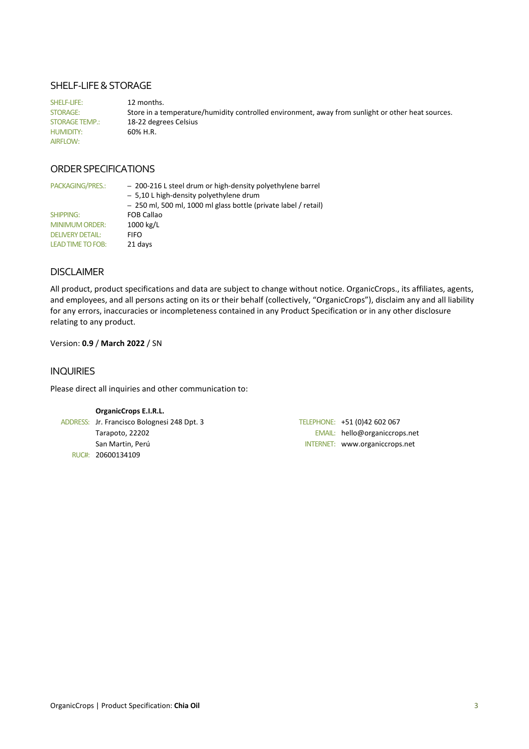#### SHELF-LIFE & STORAGE

SHELF-LIFE: 12 months. STORAGE: Store in a temperature/humidity controlled environment, away from sunlight or other heat sources. STORAGE TEMP.: 18-22 degrees Celsius HUMIDITY: 60% H.R. AIRFLOW:

#### ORDER SPECIFICATIONS

| PACKAGING/PRES.:         | - 200-216 L steel drum or high-density polyethylene barrel<br>- 5,10 L high-density polyethylene drum<br>- 250 ml, 500 ml, 1000 ml glass bottle (private label / retail) |
|--------------------------|--------------------------------------------------------------------------------------------------------------------------------------------------------------------------|
| SHIPPING:                | <b>FOB Callao</b>                                                                                                                                                        |
| <b>MINIMUM ORDER:</b>    | 1000 kg/L                                                                                                                                                                |
| <b>DELIVERY DETAIL:</b>  | FIFO                                                                                                                                                                     |
| <b>LEAD TIME TO FOB:</b> | 21 days                                                                                                                                                                  |

### DISCLAIMER

All product, product specifications and data are subject to change without notice. OrganicCrops., its affiliates, agents, and employees, and all persons acting on its or their behalf (collectively, "OrganicCrops"), disclaim any and all liability for any errors, inaccuracies or incompleteness contained in any Product Specification or in any other disclosure relating to any product.

#### Version: **0.9** / **March 2022** / SN

#### INQUIRIES

Please direct all inquiries and other communication to:

#### **OrganicCrops E.I.R.L.**

ADDRESS: Jr. Francisco Bolognesi 248 Dpt. 3 TELEPHONE: +51 (0)42 602 067 RUC#: 20600134109

Tarapoto, 22202 EMAIL: hello@organiccrops.net San Martin, Perú INTERNET: www.organiccrops.net